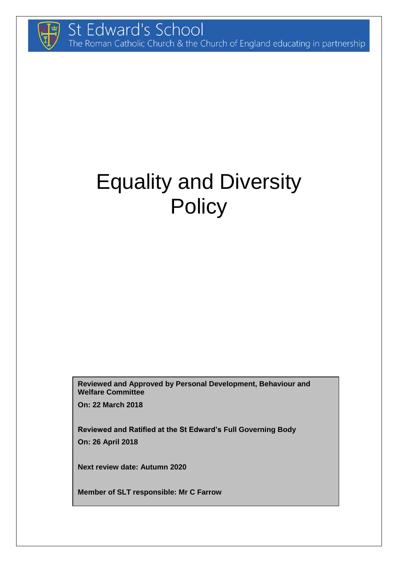

# Equality and Diversity **Policy**

**Reviewed and Approved by Personal Development, Behaviour and Welfare Committee**

**On: 22 March 2018**

**Reviewed and Ratified at the St Edward's Full Governing Body On: 26 April 2018**

**Next review date: Autumn 2020**

**Member of SLT responsible: Mr C Farrow**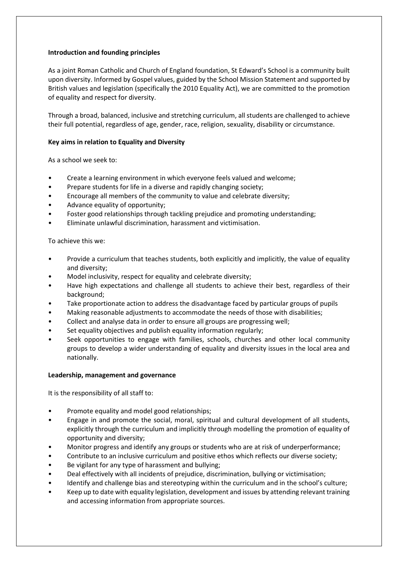# **Introduction and founding principles**

As a joint Roman Catholic and Church of England foundation, St Edward's School is a community built upon diversity. Informed by Gospel values, guided by the School Mission Statement and supported by British values and legislation (specifically the 2010 Equality Act), we are committed to the promotion of equality and respect for diversity.

Through a broad, balanced, inclusive and stretching curriculum, all students are challenged to achieve their full potential, regardless of age, gender, race, religion, sexuality, disability or circumstance.

# **Key aims in relation to Equality and Diversity**

As a school we seek to:

- Create a learning environment in which everyone feels valued and welcome;
- Prepare students for life in a diverse and rapidly changing society;
- Encourage all members of the community to value and celebrate diversity;
- Advance equality of opportunity;
- Foster good relationships through tackling prejudice and promoting understanding;
- Eliminate unlawful discrimination, harassment and victimisation.

To achieve this we:

- Provide a curriculum that teaches students, both explicitly and implicitly, the value of equality and diversity;
- Model inclusivity, respect for equality and celebrate diversity;
- Have high expectations and challenge all students to achieve their best, regardless of their background;
- Take proportionate action to address the disadvantage faced by particular groups of pupils
- Making reasonable adjustments to accommodate the needs of those with disabilities;
- Collect and analyse data in order to ensure all groups are progressing well;
- Set equality objectives and publish equality information regularly;
- Seek opportunities to engage with families, schools, churches and other local community groups to develop a wider understanding of equality and diversity issues in the local area and nationally.

### **Leadership, management and governance**

It is the responsibility of all staff to:

- Promote equality and model good relationships;
- Engage in and promote the social, moral, spiritual and cultural development of all students, explicitly through the curriculum and implicitly through modelling the promotion of equality of opportunity and diversity;
- Monitor progress and identify any groups or students who are at risk of underperformance;
- Contribute to an inclusive curriculum and positive ethos which reflects our diverse society;
- Be vigilant for any type of harassment and bullying;
- Deal effectively with all incidents of prejudice, discrimination, bullying or victimisation;
- Identify and challenge bias and stereotyping within the curriculum and in the school's culture;
- Keep up to date with equality legislation, development and issues by attending relevant training and accessing information from appropriate sources.